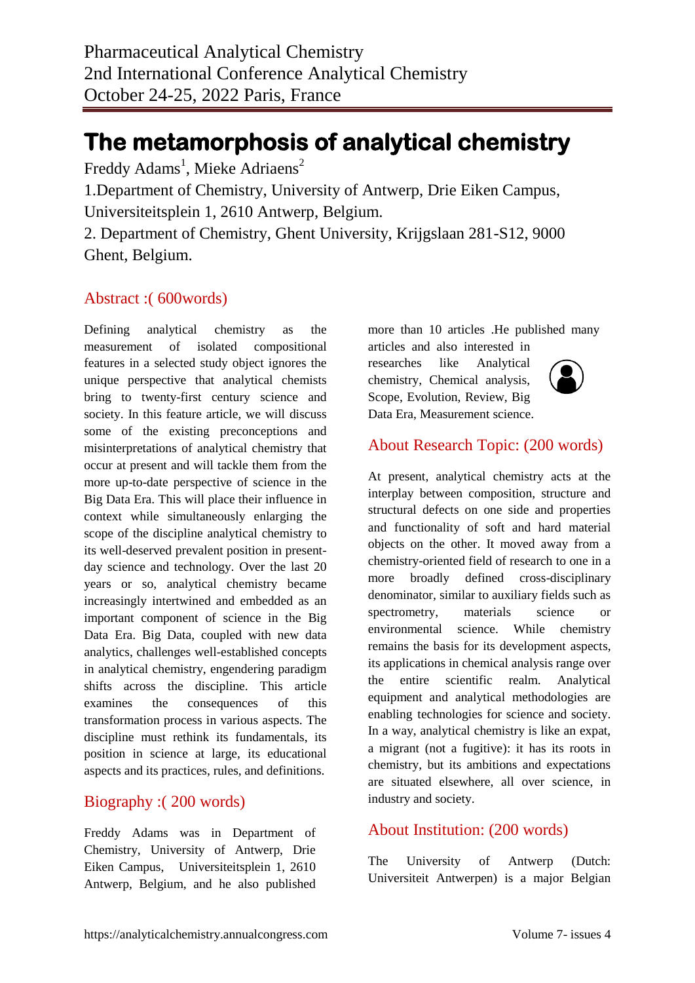# **The metamorphosis of analytical chemistry**

Freddy Adams<sup>1</sup>, Mieke Adriaens<sup>2</sup>

1.Department of Chemistry, University of Antwerp, Drie Eiken Campus, Universiteitsplein 1, 2610 Antwerp, Belgium.

2. Department of Chemistry, Ghent University, Krijgslaan 281-S12, 9000 Ghent, Belgium.

### Abstract :( 600words)

Defining analytical chemistry as the measurement of isolated compositional features in a selected study object ignores the unique perspective that analytical chemists bring to twenty-first century science and society. In this feature article, we will discuss some of the existing preconceptions and misinterpretations of analytical chemistry that occur at present and will tackle them from the more up-to-date perspective of science in the Big Data Era. This will place their influence in context while simultaneously enlarging the scope of the discipline analytical chemistry to its well-deserved prevalent position in presentday science and technology. Over the last 20 years or so, analytical chemistry became increasingly intertwined and embedded as an important component of science in the Big Data Era. Big Data, coupled with new data analytics, challenges well-established concepts in analytical chemistry, engendering paradigm shifts across the discipline. This article examines the consequences of this transformation process in various aspects. The discipline must rethink its fundamentals, its position in science at large, its educational aspects and its practices, rules, and definitions.

#### Biography :( 200 words)

Freddy Adams was in Department of Chemistry, University of Antwerp, Drie Eiken Campus, Universiteitsplein 1, 2610 Antwerp, Belgium, and he also published more than 10 articles .He published many

articles and also interested in researches like Analytical chemistry, Chemical analysis, Scope, Evolution, Review, Big Data Era, Measurement science.



## About Research Topic: (200 words)

At present, analytical chemistry acts at the interplay between composition, structure and structural defects on one side and properties and functionality of soft and hard material objects on the other. It moved away from a chemistry-oriented field of research to one in a more broadly defined cross-disciplinary denominator, similar to auxiliary fields such as spectrometry, materials science or environmental science. While chemistry remains the basis for its development aspects, its applications in chemical analysis range over the entire scientific realm. Analytical equipment and analytical methodologies are enabling technologies for science and society. In a way, analytical chemistry is like an expat, a migrant (not a fugitive): it has its roots in chemistry, but its ambitions and expectations are situated elsewhere, all over science, in industry and society.

## About Institution: (200 words)

The University of Antwerp (Dutch: Universiteit Antwerpen) is a major Belgian